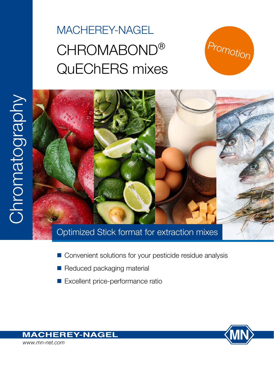# MACHEREY-NAGEL CHROMABOND® QuEChERS mixes





- Convenient solutions for your pesticide residue analysis
- $\blacksquare$  Reduced packaging material
- Excellent price-performance ratio